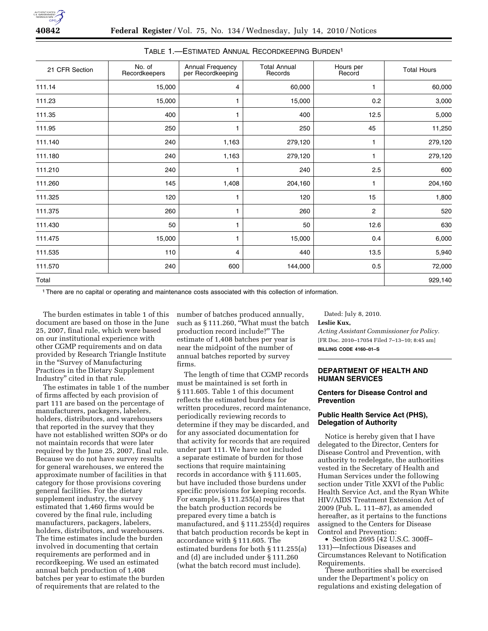| 21 CFR Section | No. of<br>Recordkeepers | Annual Frequency<br>per Recordkeeping | <b>Total Annual</b><br>Records | Hours per<br>Record | <b>Total Hours</b> |
|----------------|-------------------------|---------------------------------------|--------------------------------|---------------------|--------------------|
| 111.14         | 15,000                  | 4                                     | 60,000                         | 1                   | 60,000             |
| 111.23         | 15,000                  | 1                                     | 15,000                         | 0.2                 | 3,000              |
| 111.35         | 400                     | 1                                     | 400                            | 12.5                | 5,000              |
| 111.95         | 250                     | 1                                     | 250                            | 45                  | 11,250             |
| 111.140        | 240                     | 1,163                                 | 279,120                        | 1                   | 279,120            |
| 111.180        | 240                     | 1,163                                 | 279,120                        | 1                   | 279,120            |
| 111.210        | 240                     | 1                                     | 240                            | 2.5                 | 600                |
| 111.260        | 145                     | 1,408                                 | 204,160                        | 1                   | 204,160            |
| 111.325        | 120                     | 1                                     | 120                            | 15                  | 1,800              |
| 111.375        | 260                     | 1                                     | 260                            | $\overline{c}$      | 520                |
| 111.430        | 50                      | 1                                     | 50                             | 12.6                | 630                |
| 111.475        | 15,000                  | 1                                     | 15,000                         | 0.4                 | 6,000              |
| 111.535        | 110                     | 4                                     | 440                            | 13.5                | 5,940              |
| 111.570        | 240                     | 600                                   | 144,000                        | 0.5                 | 72,000             |
| Total          |                         |                                       |                                |                     | 929,140            |

# TABLE 1.—ESTIMATED ANNUAL RECORDKEEPING BURDEN1

1There are no capital or operating and maintenance costs associated with this collection of information.

The burden estimates in table 1 of this document are based on those in the June 25, 2007, final rule, which were based on our institutional experience with other CGMP requirements and on data provided by Research Triangle Institute in the ''Survey of Manufacturing Practices in the Dietary Supplement Industry'' cited in that rule.

The estimates in table 1 of the number of firms affected by each provision of part 111 are based on the percentage of manufacturers, packagers, labelers, holders, distributors, and warehousers that reported in the survey that they have not established written SOPs or do not maintain records that were later required by the June 25, 2007, final rule. Because we do not have survey results for general warehouses, we entered the approximate number of facilities in that category for those provisions covering general facilities. For the dietary supplement industry, the survey estimated that 1,460 firms would be covered by the final rule, including manufacturers, packagers, labelers, holders, distributors, and warehousers. The time estimates include the burden involved in documenting that certain requirements are performed and in recordkeeping. We used an estimated annual batch production of 1,408 batches per year to estimate the burden of requirements that are related to the

number of batches produced annually, such as § 111.260, "What must the batch production record include?'' The estimate of 1,408 batches per year is near the midpoint of the number of annual batches reported by survey firms.

The length of time that CGMP records must be maintained is set forth in § 111.605. Table 1 of this document reflects the estimated burdens for written procedures, record maintenance, periodically reviewing records to determine if they may be discarded, and for any associated documentation for that activity for records that are required under part 111. We have not included a separate estimate of burden for those sections that require maintaining records in accordance with § 111.605, but have included those burdens under specific provisions for keeping records. For example, § 111.255(a) requires that the batch production records be prepared every time a batch is manufactured, and § 111.255(d) requires that batch production records be kept in accordance with § 111.605. The estimated burdens for both § 111.255(a) and (d) are included under § 111.260 (what the batch record must include).

Dated: July 8, 2010.

### **Leslie Kux,**

*Acting Assistant Commissioner for Policy.*  [FR Doc. 2010–17054 Filed 7–13–10; 8:45 am] **BILLING CODE 4160–01–S** 

## **DEPARTMENT OF HEALTH AND HUMAN SERVICES**

# **Centers for Disease Control and Prevention**

# **Public Health Service Act (PHS), Delegation of Authority**

Notice is hereby given that I have delegated to the Director, Centers for Disease Control and Prevention, with authority to redelegate, the authorities vested in the Secretary of Health and Human Services under the following section under Title XXVI of the Public Health Service Act, and the Ryan White HIV/AIDS Treatment Extension Act of 2009 (Pub. L. 111–87), as amended hereafter, as it pertains to the functions assigned to the Centers for Disease Control and Prevention:

• Section 2695 (42 U.S.C. 300ff– 131)—Infectious Diseases and Circumstances Relevant to Notification Requirements.

These authorities shall be exercised under the Department's policy on regulations and existing delegation of